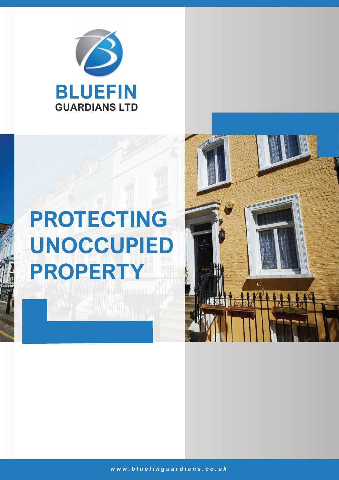

# **PROTECTING UNOCCUPIED PROPERTY**

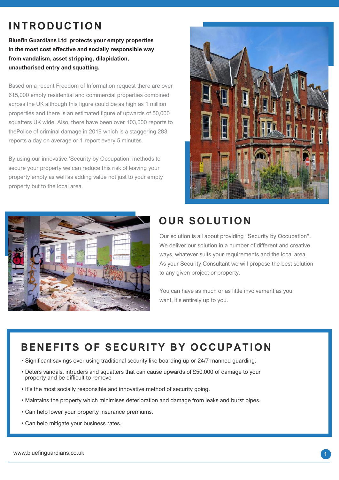# **INTRODUCTION**

**Bluefin Guardians Ltd protects your empty properties in the most cost effective and socially responsible way from vandalism, asset stripping, dilapidation, unauthorised entry and squatting.**

Based on a recent Freedom of Information request there are over 615,000 empty residential and commercial properties combined across the UK although this figure could be as high as 1 million properties and there is an estimated figure of upwards of 50,000 squatters UK wide. Also, there have been over 103,000 reports to thePolice of criminal damage in 2019 which is a staggering 283 reports a day on average or 1 report every 5 minutes.

By using our innovative 'Security by Occupation' methods to secure your property we can reduce this risk of leaving your property empty as well as adding value not just to your empty property but to the local area.





# **OUR SOLUTION**

Our solution is all about providing "Security by Occupation". We deliver our solution in a number of different and creative ways, whatever suits your requirements and the local area. As your Security Consultant we will propose the best solution to any given project or property.

You can have as much or as little involvement as you want, it's entirely up to you.

# **BENEFITS OF SECURITY BY OCCUPATION**

- Significant savings over using traditional security like boarding up or 24/7 manned guarding.
- Deters vandals, intruders and squatters that can cause upwards of £50,000 of damage to your property and be difficult to remove
- It's the most socially responsible and innovative method of security going.
- Maintains the property which minimises deterioration and damage from leaks and burst pipes.
- Can help lower your property insurance premiums.
- Can help mitigate your business rates.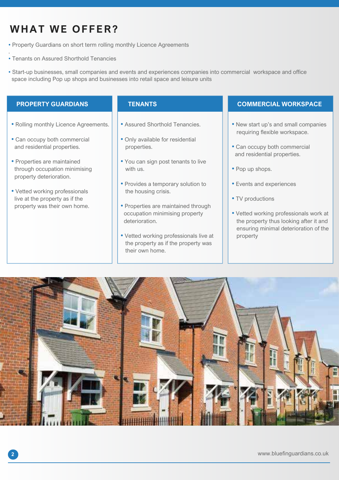# **WHAT WE OFFER?**

- Property Guardians on short term rolling monthly Licence Agreements
- Tenants on Assured Shorthold Tenancies
- Start-up businesses, small companies and events and experiences companies into commercial workspace and office space including Pop up shops and businesses into retail space and leisure units

.

- Rolling monthly Licence Agreements.
- Can occupy both commercial and residential properties.
- Properties are maintained through occupation minimising property deterioration.
- Vetted working professionals live at the property as if the property was their own home.

- Assured Shorthold Tenancies.
- Only available for residential properties.
- You can sign post tenants to live with us.
- Provides a temporary solution to the housing crisis.
- Properties are maintained through occupation minimising property deterioration.
- Vetted working professionals live at the property as if the property was their own home.

#### **PROPERTY GUARDIANS TENANTS TENANTS COMMERCIAL WORKSPACE**

- New start up's and small companies requiring flexible workspace.
- Can occupy both commercial and residential properties.
- Pop up shops.
- Events and experiences
- TV productions
- Vetted working professionals work at the property thus looking after it and ensuring minimal deterioration of the property

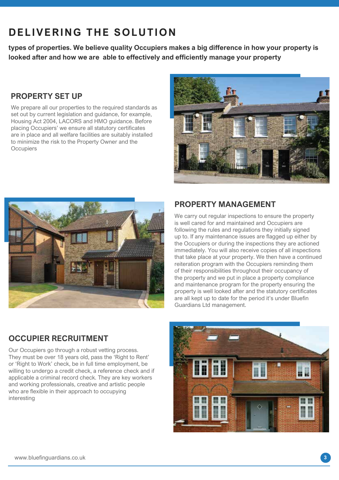# **DELIVERING THE SOLUTION**

**types of properties. We believe quality Occupiers makes a big difference in how your property is looked after and how we are able to effectively and efficiently manage your property**

# **PROPERTY SET UP**

We prepare all our properties to the required standards as set out by current legislation and guidance, for example, Housing Act 2004, LACORS and HMO guidance. Before placing Occupiers' we ensure all statutory certificates are in place and all welfare facilities are suitably installed to minimize the risk to the Property Owner and the **Occupiers** 





# **PROPERTY MANAGEMENT**

We carry out regular inspections to ensure the property is well cared for and maintained and Occupiers are following the rules and regulations they initially signed up to. If any maintenance issues are flagged up either by the Occupiers or during the inspections they are actioned immediately. You will also receive copies of all inspections that take place at your property. We then have a continued reiteration program with the Occupiers reminding them of their responsibilities throughout their occupancy of the property and we put in place a property compliance and maintenance program for the property ensuring the property is well looked after and the statutory certificates are all kept up to date for the period it's under Bluefin Guardians Ltd management.

## **OCCUPIER RECRUITMENT**

Our Occupiers go through a robust vetting process. They must be over 18 years old, pass the 'Right to Rent' or 'Right to Work' check, be in full time employment, be willing to undergo a credit check, a reference check and if applicable a criminal record check. They are key workers and working professionals, creative and artistic people who are flexible in their approach to occupying interesting

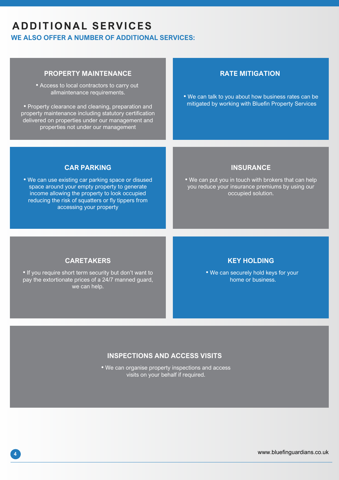# **ADDITIONAL SERVICES**

**WE ALSO OFFER A NUMBER OF ADDITIONAL SERVICES:**

## **PROPERTY MAINTENANCE**

• Access to local contractors to carry out allmaintenance requirements.

• Property clearance and cleaning, preparation and property maintenance including statutory certification delivered on properties under our management and properties not under our management

#### **RATE MITIGATION**

• We can talk to you about how business rates can be mitigated by working with Bluefin Property Services

#### **CAR PARKING**

• We can use existing car parking space or disused space around your empty property to generate income allowing the property to look occupied reducing the risk of squatters or fly tippers from accessing your property

### **INSURANCE**

• We can put you in touch with brokers that can help you reduce your insurance premiums by using our occupied solution.

### **CARETAKERS**

• If you require short term security but don't want to pay the extortionate prices of a 24/7 manned guard, we can help.

#### **KEY HOLDING**

• We can securely hold keys for your home or business.

#### **INSPECTIONS AND ACCESS VISITS**

• We can organise property inspections and access visits on your behalf if required.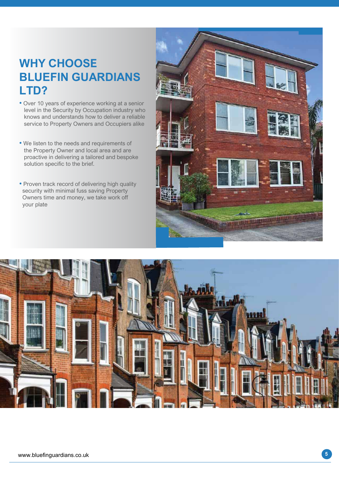# **WHY CHOOSE BLUEFIN GUARDIANS LTD?**

- Over 10 years of experience working at a senior level in the Security by Occupation industry who knows and understands how to deliver a reliable service to Property Owners and Occupiers alike
- We listen to the needs and requirements of the Property Owner and local area and are proactive in delivering a tailored and bespoke solution specific to the brief.
- Proven track record of delivering high quality security with minimal fuss saving Property Owners time and money, we take work off your plate